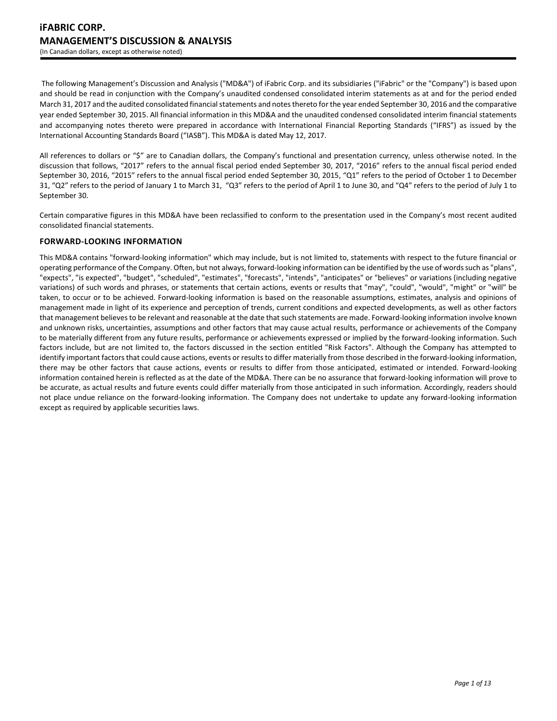The following Management's Discussion and Analysis ("MD&A") of iFabric Corp. and its subsidiaries ("iFabric" or the "Company") is based upon and should be read in conjunction with the Company's unaudited condensed consolidated interim statements as at and for the period ended March 31, 2017 and the audited consolidated financial statements and notes thereto for the year ended September 30, 2016 and the comparative year ended September 30, 2015. All financial information in this MD&A and the unaudited condensed consolidated interim financial statements and accompanying notes thereto were prepared in accordance with International Financial Reporting Standards ("IFRS") as issued by the International Accounting Standards Board ("IASB"). This MD&A is dated May 12, 2017.

All references to dollars or "\$" are to Canadian dollars, the Company's functional and presentation currency, unless otherwise noted. In the discussion that follows, "2017" refers to the annual fiscal period ended September 30, 2017, "2016" refers to the annual fiscal period ended September 30, 2016, "2015" refers to the annual fiscal period ended September 30, 2015, "Q1" refers to the period of October 1 to December 31, "Q2" refers to the period of January 1 to March 31, "Q3" refers to the period of April 1 to June 30, and "Q4" refers to the period of July 1 to September 30.

Certain comparative figures in this MD&A have been reclassified to conform to the presentation used in the Company's most recent audited consolidated financial statements.

# **FORWARD-LOOKING INFORMATION**

This MD&A contains "forward-looking information" which may include, but is not limited to, statements with respect to the future financial or operating performance of the Company. Often, but not always, forward-looking information can be identified by the use of words such as "plans", "expects", "is expected", "budget", "scheduled", "estimates", "forecasts", "intends", "anticipates" or "believes" or variations (including negative variations) of such words and phrases, or statements that certain actions, events or results that "may", "could", "would", "might" or "will" be taken, to occur or to be achieved. Forward-looking information is based on the reasonable assumptions, estimates, analysis and opinions of management made in light of its experience and perception of trends, current conditions and expected developments, as well as other factors that management believes to be relevant and reasonable at the date that such statements are made. Forward-looking information involve known and unknown risks, uncertainties, assumptions and other factors that may cause actual results, performance or achievements of the Company to be materially different from any future results, performance or achievements expressed or implied by the forward-looking information. Such factors include, but are not limited to, the factors discussed in the section entitled "Risk Factors". Although the Company has attempted to identify important factors that could cause actions, events or results to differ materially from those described in the forward-looking information, there may be other factors that cause actions, events or results to differ from those anticipated, estimated or intended. Forward-looking information contained herein is reflected as at the date of the MD&A. There can be no assurance that forward-looking information will prove to be accurate, as actual results and future events could differ materially from those anticipated in such information. Accordingly, readers should not place undue reliance on the forward-looking information. The Company does not undertake to update any forward-looking information except as required by applicable securities laws.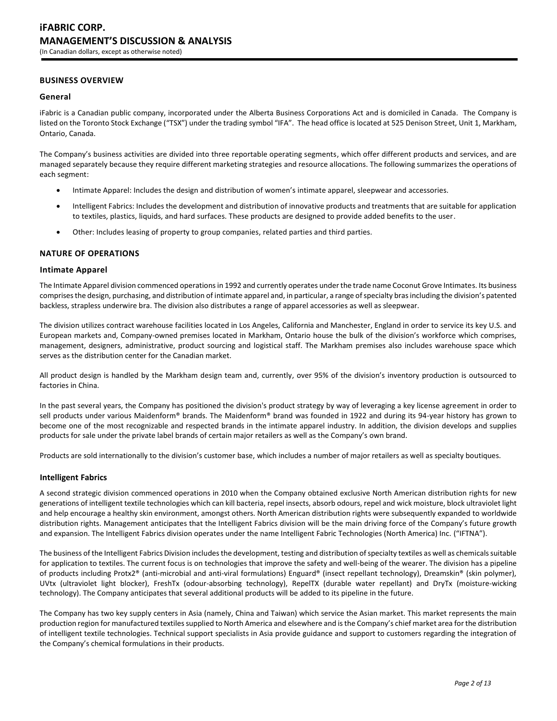# **BUSINESS OVERVIEW**

#### **General**

iFabric is a Canadian public company, incorporated under the Alberta Business Corporations Act and is domiciled in Canada. The Company is listed on the Toronto Stock Exchange ("TSX") under the trading symbol "IFA". The head office is located at 525 Denison Street, Unit 1, Markham, Ontario, Canada.

The Company's business activities are divided into three reportable operating segments, which offer different products and services, and are managed separately because they require different marketing strategies and resource allocations. The following summarizes the operations of each segment:

- Intimate Apparel: Includes the design and distribution of women's intimate apparel, sleepwear and accessories.
- Intelligent Fabrics: Includes the development and distribution of innovative products and treatments that are suitable for application to textiles, plastics, liquids, and hard surfaces. These products are designed to provide added benefits to the user.
- Other: Includes leasing of property to group companies, related parties and third parties.

#### **NATURE OF OPERATIONS**

### **Intimate Apparel**

The Intimate Apparel division commenced operations in 1992 and currently operates under the trade name Coconut Grove Intimates. Its business comprises the design, purchasing, and distribution of intimate apparel and, in particular, a range of specialty bras including the division's patented backless, strapless underwire bra. The division also distributes a range of apparel accessories as well as sleepwear.

The division utilizes contract warehouse facilities located in Los Angeles, California and Manchester, England in order to service its key U.S. and European markets and, Company-owned premises located in Markham, Ontario house the bulk of the division's workforce which comprises, management, designers, administrative, product sourcing and logistical staff. The Markham premises also includes warehouse space which serves as the distribution center for the Canadian market.

All product design is handled by the Markham design team and, currently, over 95% of the division's inventory production is outsourced to factories in China.

In the past several years, the Company has positioned the division's product strategy by way of leveraging a key license agreement in order to sell products under various Maidenform® brands. The Maidenform® brand was founded in 1922 and during its 94-year history has grown to become one of the most recognizable and respected brands in the intimate apparel industry. In addition, the division develops and supplies products for sale under the private label brands of certain major retailers as well as the Company's own brand.

Products are sold internationally to the division's customer base, which includes a number of major retailers as well as specialty boutiques.

#### **Intelligent Fabrics**

A second strategic division commenced operations in 2010 when the Company obtained exclusive North American distribution rights for new generations of intelligent textile technologies which can kill bacteria, repel insects, absorb odours, repel and wick moisture, block ultraviolet light and help encourage a healthy skin environment, amongst others. North American distribution rights were subsequently expanded to worldwide distribution rights. Management anticipates that the Intelligent Fabrics division will be the main driving force of the Company's future growth and expansion. The Intelligent Fabrics division operates under the name Intelligent Fabric Technologies (North America) Inc. ("IFTNA").

The business of the Intelligent Fabrics Division includes the development, testing and distribution of specialty textiles as well as chemicals suitable for application to textiles. The current focus is on technologies that improve the safety and well-being of the wearer. The division has a pipeline of products including Protx2® (anti-microbial and anti-viral formulations) Enguard® (insect repellant technology), Dreamskin® (skin polymer), UVtx (ultraviolet light blocker), FreshTx (odour-absorbing technology), RepelTX (durable water repellant) and DryTx (moisture-wicking technology). The Company anticipates that several additional products will be added to its pipeline in the future.

The Company has two key supply centers in Asia (namely, China and Taiwan) which service the Asian market. This market represents the main production region for manufactured textiles supplied to North America and elsewhere and is the Company's chief market area for the distribution of intelligent textile technologies. Technical support specialists in Asia provide guidance and support to customers regarding the integration of the Company's chemical formulations in their products.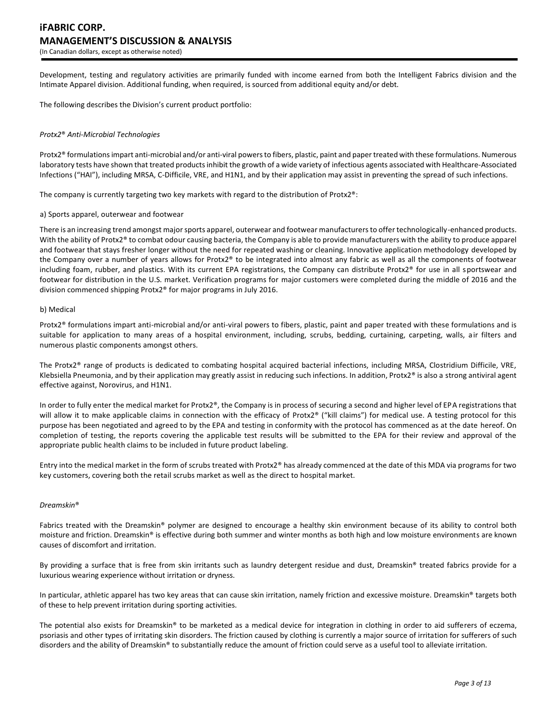Development, testing and regulatory activities are primarily funded with income earned from both the Intelligent Fabrics division and the Intimate Apparel division. Additional funding, when required, is sourced from additional equity and/or debt.

The following describes the Division's current product portfolio:

#### *Protx2*® *Anti-Microbial Technologies*

Protx2® formulations impart anti-microbial and/or anti-viral powers to fibers, plastic, paint and paper treated with these formulations. Numerous laboratory tests have shown that treated products inhibit the growth of a wide variety of infectious agents associated with Healthcare-Associated Infections ("HAI"), including MRSA, C-Difficile, VRE, and H1N1, and by their application may assist in preventing the spread of such infections.

The company is currently targeting two key markets with regard to the distribution of Protx2®:

#### a) Sports apparel, outerwear and footwear

There is an increasing trend amongst major sports apparel, outerwear and footwear manufacturers to offer technologically-enhanced products. With the ability of Protx2® to combat odour causing bacteria, the Company is able to provide manufacturers with the ability to produce apparel and footwear that stays fresher longer without the need for repeated washing or cleaning. Innovative application methodology developed by the Company over a number of years allows for Protx2® to be integrated into almost any fabric as well as all the components of footwear including foam, rubber, and plastics. With its current EPA registrations, the Company can distribute Protx2® for use in all sportswear and footwear for distribution in the U.S. market. Verification programs for major customers were completed during the middle of 2016 and the division commenced shipping Protx2® for major programs in July 2016.

#### b) Medical

Protx2® formulations impart anti-microbial and/or anti-viral powers to fibers, plastic, paint and paper treated with these formulations and is suitable for application to many areas of a hospital environment, including, scrubs, bedding, curtaining, carpeting, walls, air filters and numerous plastic components amongst others.

The Protx2® range of products is dedicated to combating hospital acquired bacterial infections, including MRSA, Clostridium Difficile, VRE, Klebsiella Pneumonia, and by their application may greatly assist in reducing such infections. In addition, Protx $2<sup>®</sup>$  is also a strong antiviral agent effective against, Norovirus, and H1N1.

In order to fully enter the medical market for Protx2®, the Company is in process of securing a second and higher level of EPA registrations that will allow it to make applicable claims in connection with the efficacy of Protx2® ("kill claims") for medical use. A testing protocol for this purpose has been negotiated and agreed to by the EPA and testing in conformity with the protocol has commenced as at the date hereof. On completion of testing, the reports covering the applicable test results will be submitted to the EPA for their review and approval of the appropriate public health claims to be included in future product labeling.

Entry into the medical market in the form of scrubs treated with Protx2® has already commenced at the date of this MDA via programs for two key customers, covering both the retail scrubs market as well as the direct to hospital market.

#### *Dreamskin*®

Fabrics treated with the Dreamskin® polymer are designed to encourage a healthy skin environment because of its ability to control both moisture and friction. Dreamskin® is effective during both summer and winter months as both high and low moisture environments are known causes of discomfort and irritation.

By providing a surface that is free from skin irritants such as laundry detergent residue and dust, Dreamskin® treated fabrics provide for a luxurious wearing experience without irritation or dryness.

In particular, athletic apparel has two key areas that can cause skin irritation, namely friction and excessive moisture. Dreamskin® targets both of these to help prevent irritation during sporting activities.

The potential also exists for Dreamskin® to be marketed as a medical device for integration in clothing in order to aid sufferers of eczema, psoriasis and other types of irritating skin disorders. The friction caused by clothing is currently a major source of irritation for sufferers of such disorders and the ability of Dreamskin® to substantially reduce the amount of friction could serve as a useful tool to alleviate irritation.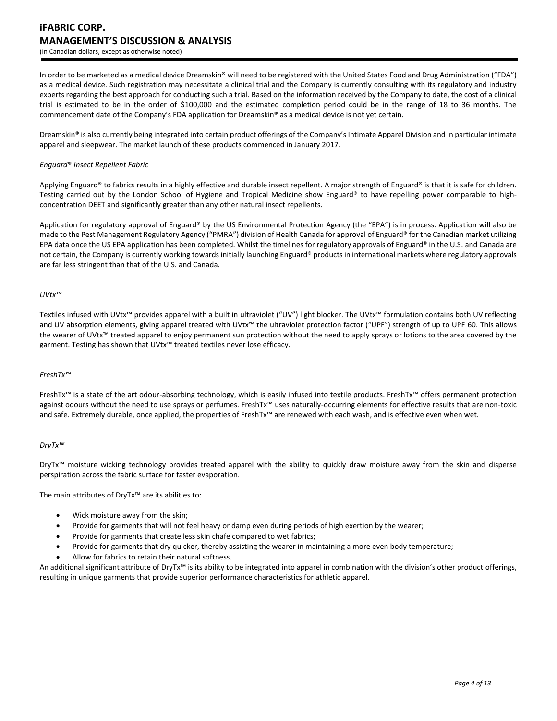In order to be marketed as a medical device Dreamskin® will need to be registered with the United States Food and Drug Administration ("FDA") as a medical device. Such registration may necessitate a clinical trial and the Company is currently consulting with its regulatory and industry experts regarding the best approach for conducting such a trial. Based on the information received by the Company to date, the cost of a clinical trial is estimated to be in the order of \$100,000 and the estimated completion period could be in the range of 18 to 36 months. The commencement date of the Company's FDA application for Dreamskin® as a medical device is not yet certain.

Dreamskin® is also currently being integrated into certain product offerings of the Company's Intimate Apparel Division and in particular intimate apparel and sleepwear. The market launch of these products commenced in January 2017.

#### *Enguard*® *Insect Repellent Fabric*

Applying Enguard® to fabrics results in a highly effective and durable insect repellent. A major strength of Enguard® is that it is safe for children. Testing carried out by the London School of Hygiene and Tropical Medicine show Enguard® to have repelling power comparable to highconcentration DEET and significantly greater than any other natural insect repellents.

Application for regulatory approval of Enguard® by the US Environmental Protection Agency (the "EPA") is in process. Application will also be made to the Pest Management Regulatory Agency ("PMRA") division of Health Canada for approval of Enguard® for the Canadian market utilizing EPA data once the US EPA application has been completed. Whilst the timelines for regulatory approvals of Enguard® in the U.S. and Canada are not certain, the Company is currently working towards initially launching Enguard® products in international markets where regulatory approvals are far less stringent than that of the U.S. and Canada.

#### *UVtx™*

Textiles infused with UVtx™ provides apparel with a built in ultraviolet ("UV") light blocker. The UVtx™ formulation contains both UV reflecting and UV absorption elements, giving apparel treated with UVtx™ the ultraviolet protection factor ("UPF") strength of up to UPF 60. This allows the wearer of UVtx™ treated apparel to enjoy permanent sun protection without the need to apply sprays or lotions to the area covered by the garment. Testing has shown that UVtx<sup>™</sup> treated textiles never lose efficacy.

#### *FreshTx™*

FreshTx™ is a state of the art odour-absorbing technology, which is easily infused into textile products. FreshTx™ offers permanent protection against odours without the need to use sprays or perfumes. FreshTx™ uses naturally-occurring elements for effective results that are non-toxic and safe. Extremely durable, once applied, the properties of FreshTx™ are renewed with each wash, and is effective even when wet.

#### *DryTx™*

DryTx™ moisture wicking technology provides treated apparel with the ability to quickly draw moisture away from the skin and disperse perspiration across the fabric surface for faster evaporation.

The main attributes of DryTx™ are its abilities to:

- Wick moisture away from the skin;
- Provide for garments that will not feel heavy or damp even during periods of high exertion by the wearer;
- Provide for garments that create less skin chafe compared to wet fabrics;
- Provide for garments that dry quicker, thereby assisting the wearer in maintaining a more even body temperature;
- Allow for fabrics to retain their natural softness.

An additional significant attribute of DryTx<sup>™</sup> is its ability to be integrated into apparel in combination with the division's other product offerings, resulting in unique garments that provide superior performance characteristics for athletic apparel.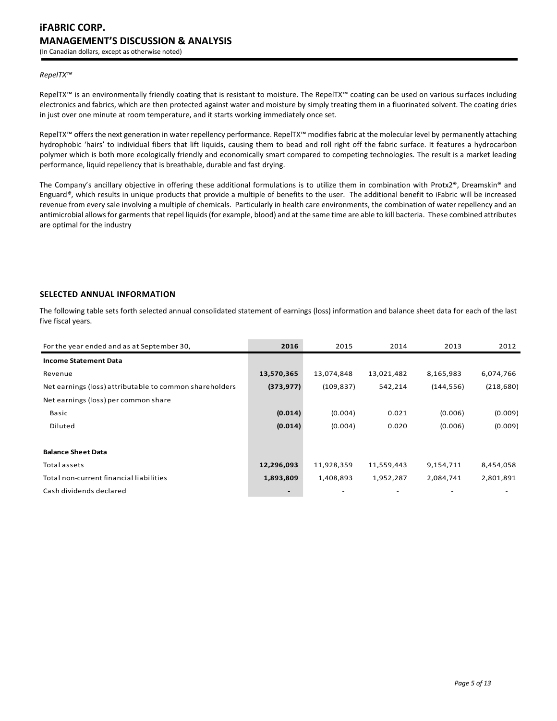#### *RepelTX™*

RepelTX™ is an environmentally friendly coating that is resistant to moisture. The RepelTX™ coating can be used on various surfaces including electronics and fabrics, which are then protected against water and moisture by simply treating them in a fluorinated solvent. The coating dries in just over one minute at room temperature, and it starts working immediately once set.

RepelTX™ offers the next generation in water repellency performance. RepelTX™ modifies fabric at the molecular level by permanently attaching hydrophobic 'hairs' to individual fibers that lift liquids, causing them to bead and roll right off the fabric surface. It features a hydrocarbon polymer which is both more ecologically friendly and economically smart compared to competing technologies. The result is a market leading performance, liquid repellency that is breathable, durable and fast drying.

The Company's ancillary objective in offering these additional formulations is to utilize them in combination with Protx2®, Dreamskin® and Enguard*®*, which results in unique products that provide a multiple of benefits to the user. The additional benefit to iFabric will be increased revenue from every sale involving a multiple of chemicals. Particularly in health care environments, the combination of water repellency and an antimicrobial allows for garments that repel liquids (for example, blood) and at the same time are able to kill bacteria. These combined attributes are optimal for the industry

# **SELECTED ANNUAL INFORMATION**

The following table sets forth selected annual consolidated statement of earnings (loss) information and balance sheet data for each of the last five fiscal years.

| For the year ended and as at September 30,              | 2016                     | 2015       | 2014       | 2013       | 2012       |
|---------------------------------------------------------|--------------------------|------------|------------|------------|------------|
| <b>Income Statement Data</b>                            |                          |            |            |            |            |
| Revenue                                                 | 13,570,365               | 13,074,848 | 13,021,482 | 8,165,983  | 6,074,766  |
| Net earnings (loss) attributable to common shareholders | (373, 977)               | (109, 837) | 542,214    | (144, 556) | (218, 680) |
| Net earnings (loss) per common share                    |                          |            |            |            |            |
| Basic                                                   | (0.014)                  | (0.004)    | 0.021      | (0.006)    | (0.009)    |
| Diluted                                                 | (0.014)                  | (0.004)    | 0.020      | (0.006)    | (0.009)    |
|                                                         |                          |            |            |            |            |
| <b>Balance Sheet Data</b>                               |                          |            |            |            |            |
| Total assets                                            | 12,296,093               | 11,928,359 | 11,559,443 | 9,154,711  | 8,454,058  |
| Total non-current financial liabilities                 | 1,893,809                | 1,408,893  | 1,952,287  | 2,084,741  | 2,801,891  |
| Cash dividends declared                                 | $\overline{\phantom{a}}$ |            |            |            |            |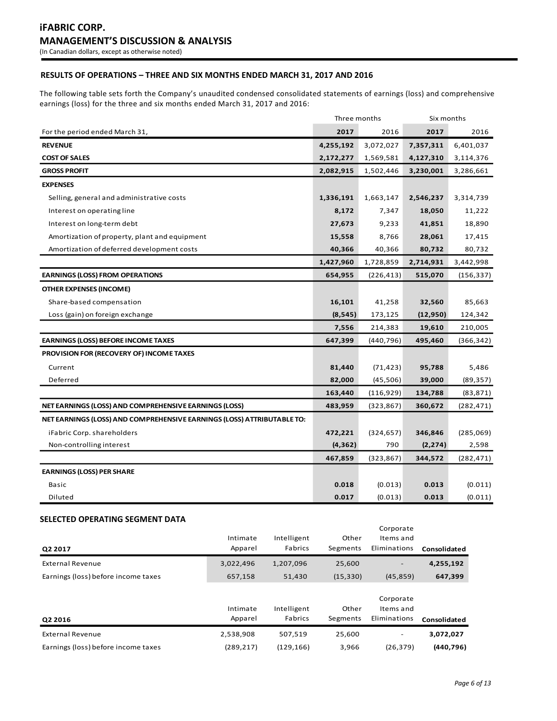# **RESULTS OF OPERATIONS – THREE AND SIX MONTHS ENDED MARCH 31, 2017 AND 2016**

The following table sets forth the Company's unaudited condensed consolidated statements of earnings (loss) and comprehensive earnings (loss) for the three and six months ended March 31, 2017 and 2016:

|                                                                        | Three months |            | Six months |            |
|------------------------------------------------------------------------|--------------|------------|------------|------------|
| For the period ended March 31,                                         | 2017         | 2016       | 2017       | 2016       |
| <b>REVENUE</b>                                                         | 4,255,192    | 3,072,027  | 7,357,311  | 6,401,037  |
| <b>COST OF SALES</b>                                                   | 2,172,277    | 1,569,581  | 4,127,310  | 3,114,376  |
| <b>GROSS PROFIT</b>                                                    | 2,082,915    | 1,502,446  | 3,230,001  | 3,286,661  |
| <b>EXPENSES</b>                                                        |              |            |            |            |
| Selling, general and administrative costs                              | 1,336,191    | 1,663,147  | 2,546,237  | 3,314,739  |
| Interest on operating line                                             | 8,172        | 7,347      | 18,050     | 11,222     |
| Interest on long-term debt                                             | 27,673       | 9,233      | 41,851     | 18,890     |
| Amortization of property, plant and equipment                          | 15,558       | 8,766      | 28,061     | 17,415     |
| Amortization of deferred development costs                             | 40,366       | 40,366     | 80,732     | 80,732     |
|                                                                        | 1,427,960    | 1,728,859  | 2,714,931  | 3,442,998  |
| <b>EARNINGS (LOSS) FROM OPERATIONS</b>                                 | 654,955      | (226, 413) | 515,070    | (156, 337) |
| <b>OTHER EXPENSES (INCOME)</b>                                         |              |            |            |            |
| Share-based compensation                                               | 16,101       | 41,258     | 32,560     | 85,663     |
| Loss (gain) on foreign exchange                                        | (8, 545)     | 173,125    | (12, 950)  | 124,342    |
|                                                                        | 7,556        | 214,383    | 19,610     | 210,005    |
| <b>EARNINGS (LOSS) BEFORE INCOME TAXES</b>                             | 647,399      | (440, 796) | 495,460    | (366, 342) |
| PROVISION FOR (RECOVERY OF) INCOME TAXES                               |              |            |            |            |
| Current                                                                | 81,440       | (71, 423)  | 95,788     | 5,486      |
| Deferred                                                               | 82,000       | (45, 506)  | 39,000     | (89, 357)  |
|                                                                        | 163,440      | (116, 929) | 134,788    | (83, 871)  |
| NET EARNINGS (LOSS) AND COMPREHENSIVE EARNINGS (LOSS)                  | 483,959      | (323, 867) | 360,672    | (282, 471) |
| NET EARNINGS (LOSS) AND COMPREHENSIVE EARNINGS (LOSS) ATTRIBUTABLE TO: |              |            |            |            |
| iFabric Corp. shareholders                                             | 472,221      | (324, 657) | 346,846    | (285,069)  |
| Non-controlling interest                                               | (4, 362)     | 790        | (2, 274)   | 2,598      |
|                                                                        | 467,859      | (323, 867) | 344,572    | (282, 471) |
| <b>EARNINGS (LOSS) PER SHARE</b>                                       |              |            |            |            |
| Basic                                                                  | 0.018        | (0.013)    | 0.013      | (0.011)    |
| Diluted                                                                | 0.017        | (0.013)    | 0.013      | (0.011)    |

### **SELECTED OPERATING SEGMENT DATA**

|                                     | Intimate            | Intelligent            | Other             | Corporate<br>Items and                 |              |
|-------------------------------------|---------------------|------------------------|-------------------|----------------------------------------|--------------|
| Q2 2017                             | Apparel             | Fabrics                | Segments          | Eliminations                           | Consolidated |
| <b>External Revenue</b>             | 3,022,496           | 1,207,096              | 25,600            | $\overline{\phantom{a}}$               | 4,255,192    |
| Earnings (loss) before income taxes | 657,158             | 51,430                 | (15, 330)         | (45, 859)                              | 647,399      |
| Q2 2016                             | Intimate<br>Apparel | Intelligent<br>Fabrics | Other<br>Segments | Corporate<br>Items and<br>Eliminations | Consolidated |
| <b>External Revenue</b>             | 2,538,908           | 507.519                | 25.600            | $\overline{\phantom{a}}$               | 3,072,027    |
| Earnings (loss) before income taxes | (289, 217)          | (129, 166)             | 3,966             | (26, 379)                              | (440, 796)   |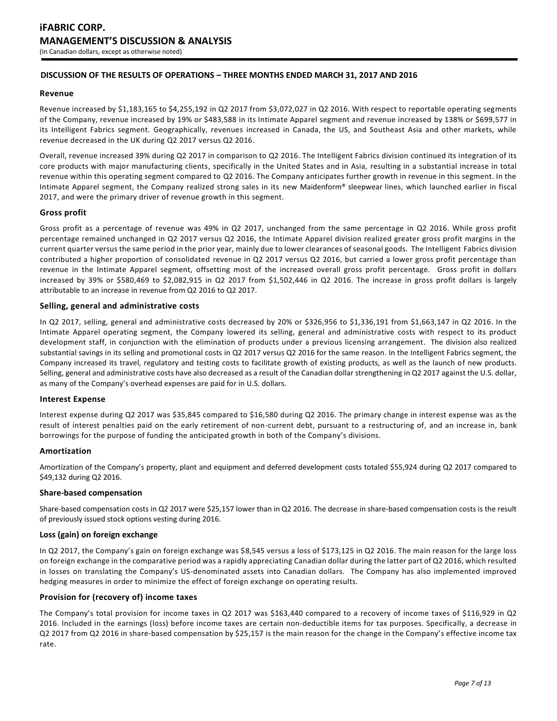# **DISCUSSION OF THE RESULTS OF OPERATIONS – THREE MONTHS ENDED MARCH 31, 2017 AND 2016**

### **Revenue**

Revenue increased by \$1,183,165 to \$4,255,192 in Q2 2017 from \$3,072,027 in Q2 2016. With respect to reportable operating segments of the Company, revenue increased by 19% or \$483,588 in its Intimate Apparel segment and revenue increased by 138% or \$699,577 in its Intelligent Fabrics segment. Geographically, revenues increased in Canada, the US, and Southeast Asia and other markets, while revenue decreased in the UK during Q2 2017 versus Q2 2016.

Overall, revenue increased 39% during Q2 2017 in comparison to Q2 2016. The Intelligent Fabrics division continued its integration of its core products with major manufacturing clients, specifically in the United States and in Asia, resulting in a substantial increase in total revenue within this operating segment compared to Q2 2016. The Company anticipates further growth in revenue in this segment. In the Intimate Apparel segment, the Company realized strong sales in its new Maidenform® sleepwear lines, which launched earlier in fiscal 2017, and were the primary driver of revenue growth in this segment.

## **Gross profit**

Gross profit as a percentage of revenue was 49% in Q2 2017, unchanged from the same percentage in Q2 2016. While gross profit percentage remained unchanged in Q2 2017 versus Q2 2016, the Intimate Apparel division realized greater gross profit margins in the current quarter versus the same period in the prior year, mainly due to lower clearances of seasonal goods. The Intelligent Fabrics division contributed a higher proportion of consolidated revenue in Q2 2017 versus Q2 2016, but carried a lower gross profit percentage than revenue in the Intimate Apparel segment, offsetting most of the increased overall gross profit percentage. Gross profit in dollars increased by 39% or \$580,469 to \$2,082,915 in Q2 2017 from \$1,502,446 in Q2 2016. The increase in gross profit dollars is largely attributable to an increase in revenue from Q2 2016 to Q2 2017.

## **Selling, general and administrative costs**

In Q2 2017, selling, general and administrative costs decreased by 20% or \$326,956 to \$1,336,191 from \$1,663,147 in Q2 2016. In the Intimate Apparel operating segment, the Company lowered its selling, general and administrative costs with respect to its product development staff, in conjunction with the elimination of products under a previous licensing arrangement. The division also realized substantial savings in its selling and promotional costs in Q2 2017 versus Q2 2016 for the same reason. In the Intelligent Fabrics segment, the Company increased its travel, regulatory and testing costs to facilitate growth of existing products, as well as the launch of new products. Selling, general and administrative costs have also decreased as a result of the Canadian dollar strengthening in Q2 2017 against the U.S. dollar, as many of the Company's overhead expenses are paid for in U.S. dollars.

## **Interest Expense**

Interest expense during Q2 2017 was \$35,845 compared to \$16,580 during Q2 2016. The primary change in interest expense was as the result of interest penalties paid on the early retirement of non-current debt, pursuant to a restructuring of, and an increase in, bank borrowings for the purpose of funding the anticipated growth in both of the Company's divisions.

#### **Amortization**

Amortization of the Company's property, plant and equipment and deferred development costs totaled \$55,924 during Q2 2017 compared to \$49,132 during Q2 2016.

#### **Share-based compensation**

Share-based compensation costs in Q2 2017 were \$25,157 lower than in Q2 2016. The decrease in share-based compensation costs is the result of previously issued stock options vesting during 2016.

# **Loss (gain) on foreign exchange**

In Q2 2017, the Company's gain on foreign exchange was \$8,545 versus a loss of \$173,125 in Q2 2016. The main reason for the large loss on foreign exchange in the comparative period was a rapidly appreciating Canadian dollar during the latter part of Q2 2016, which resulted in losses on translating the Company's US-denominated assets into Canadian dollars. The Company has also implemented improved hedging measures in order to minimize the effect of foreign exchange on operating results.

#### **Provision for (recovery of) income taxes**

The Company's total provision for income taxes in Q2 2017 was \$163,440 compared to a recovery of income taxes of \$116,929 in Q2 2016. Included in the earnings (loss) before income taxes are certain non-deductible items for tax purposes. Specifically, a decrease in Q2 2017 from Q2 2016 in share-based compensation by \$25,157 is the main reason for the change in the Company's effective income tax rate.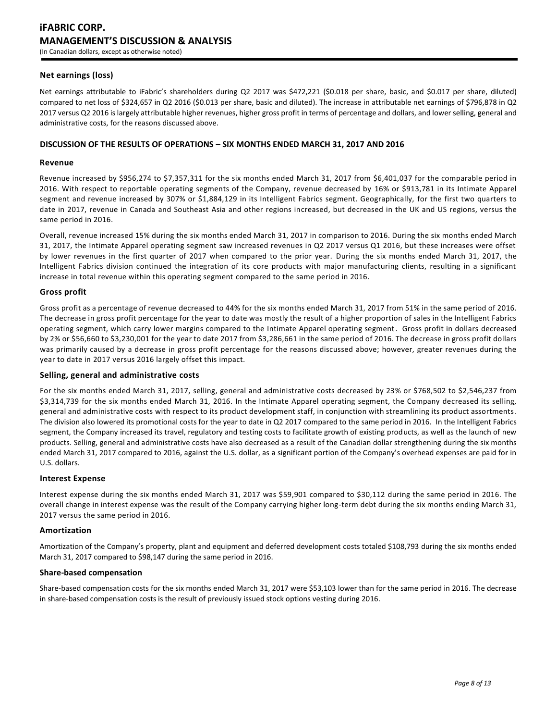# **Net earnings (loss)**

Net earnings attributable to iFabric's shareholders during Q2 2017 was \$472,221 (\$0.018 per share, basic, and \$0.017 per share, diluted) compared to net loss of \$324,657 in Q2 2016 (\$0.013 per share, basic and diluted). The increase in attributable net earnings of \$796,878 in Q2 2017 versus Q2 2016 is largely attributable higher revenues, higher gross profit in terms of percentage and dollars, and lower selling, general and administrative costs, for the reasons discussed above.

# **DISCUSSION OF THE RESULTS OF OPERATIONS – SIX MONTHS ENDED MARCH 31, 2017 AND 2016**

### **Revenue**

Revenue increased by \$956,274 to \$7,357,311 for the six months ended March 31, 2017 from \$6,401,037 for the comparable period in 2016. With respect to reportable operating segments of the Company, revenue decreased by 16% or \$913,781 in its Intimate Apparel segment and revenue increased by 307% or \$1,884,129 in its Intelligent Fabrics segment. Geographically, for the first two quarters to date in 2017, revenue in Canada and Southeast Asia and other regions increased, but decreased in the UK and US regions, versus the same period in 2016.

Overall, revenue increased 15% during the six months ended March 31, 2017 in comparison to 2016. During the six months ended March 31, 2017, the Intimate Apparel operating segment saw increased revenues in Q2 2017 versus Q1 2016, but these increases were offset by lower revenues in the first quarter of 2017 when compared to the prior year. During the six months ended March 31, 2017, the Intelligent Fabrics division continued the integration of its core products with major manufacturing clients, resulting in a significant increase in total revenue within this operating segment compared to the same period in 2016.

# **Gross profit**

Gross profit as a percentage of revenue decreased to 44% for the six months ended March 31, 2017 from 51% in the same period of 2016. The decrease in gross profit percentage for the year to date was mostly the result of a higher proportion of sales in the Intelligent Fabrics operating segment, which carry lower margins compared to the Intimate Apparel operating segment. Gross profit in dollars decreased by 2% or \$56,660 to \$3,230,001 for the year to date 2017 from \$3,286,661 in the same period of 2016. The decrease in gross profit dollars was primarily caused by a decrease in gross profit percentage for the reasons discussed above; however, greater revenues during the year to date in 2017 versus 2016 largely offset this impact.

## **Selling, general and administrative costs**

For the six months ended March 31, 2017, selling, general and administrative costs decreased by 23% or \$768,502 to \$2,546,237 from \$3,314,739 for the six months ended March 31, 2016. In the Intimate Apparel operating segment, the Company decreased its selling, general and administrative costs with respect to its product development staff, in conjunction with streamlining its product assortments. The division also lowered its promotional costs for the year to date in Q2 2017 compared to the same period in 2016. In the Intelligent Fabrics segment, the Company increased its travel, regulatory and testing costs to facilitate growth of existing products, as well as the launch of new products. Selling, general and administrative costs have also decreased as a result of the Canadian dollar strengthening during the six months ended March 31, 2017 compared to 2016, against the U.S. dollar, as a significant portion of the Company's overhead expenses are paid for in U.S. dollars.

### **Interest Expense**

Interest expense during the six months ended March 31, 2017 was \$59,901 compared to \$30,112 during the same period in 2016. The overall change in interest expense was the result of the Company carrying higher long-term debt during the six months ending March 31, 2017 versus the same period in 2016.

#### **Amortization**

Amortization of the Company's property, plant and equipment and deferred development costs totaled \$108,793 during the six months ended March 31, 2017 compared to \$98,147 during the same period in 2016.

#### **Share-based compensation**

Share-based compensation costs for the six months ended March 31, 2017 were \$53,103 lower than for the same period in 2016. The decrease in share-based compensation costs is the result of previously issued stock options vesting during 2016.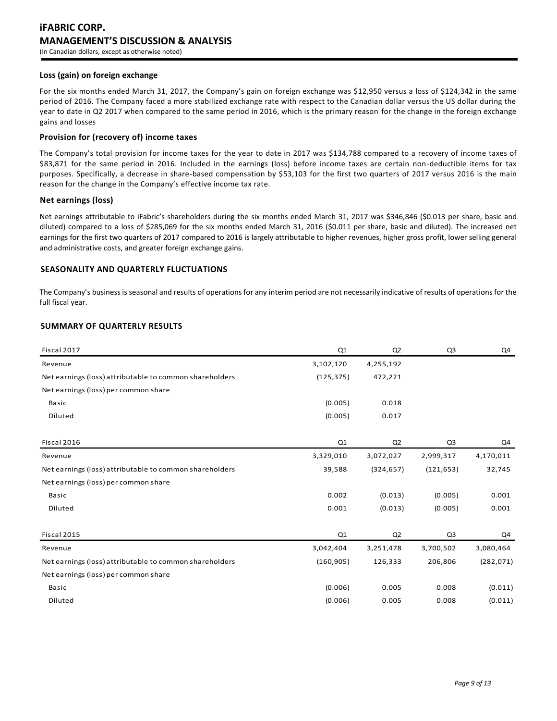# **Loss (gain) on foreign exchange**

For the six months ended March 31, 2017, the Company's gain on foreign exchange was \$12,950 versus a loss of \$124,342 in the same period of 2016. The Company faced a more stabilized exchange rate with respect to the Canadian dollar versus the US dollar during the year to date in Q2 2017 when compared to the same period in 2016, which is the primary reason for the change in the foreign exchange gains and losses

## **Provision for (recovery of) income taxes**

The Company's total provision for income taxes for the year to date in 2017 was \$134,788 compared to a recovery of income taxes of \$83,871 for the same period in 2016. Included in the earnings (loss) before income taxes are certain non-deductible items for tax purposes. Specifically, a decrease in share-based compensation by \$53,103 for the first two quarters of 2017 versus 2016 is the main reason for the change in the Company's effective income tax rate.

## **Net earnings (loss)**

Net earnings attributable to iFabric's shareholders during the six months ended March 31, 2017 was \$346,846 (\$0.013 per share, basic and diluted) compared to a loss of \$285,069 for the six months ended March 31, 2016 (\$0.011 per share, basic and diluted). The increased net earnings for the first two quarters of 2017 compared to 2016 is largely attributable to higher revenues, higher gross profit, lower selling general and administrative costs, and greater foreign exchange gains.

# **SEASONALITY AND QUARTERLY FLUCTUATIONS**

The Company's business is seasonal and results of operations for any interim period are not necessarily indicative of results of operations for the full fiscal year.

# **SUMMARY OF QUARTERLY RESULTS**

| Fiscal 2017                                             | Q1         | Q <sub>2</sub> | Q <sub>3</sub> | Q4         |
|---------------------------------------------------------|------------|----------------|----------------|------------|
| Revenue                                                 | 3,102,120  | 4,255,192      |                |            |
| Net earnings (loss) attributable to common shareholders | (125, 375) | 472,221        |                |            |
| Net earnings (loss) per common share                    |            |                |                |            |
| Basic                                                   | (0.005)    | 0.018          |                |            |
| Diluted                                                 | (0.005)    | 0.017          |                |            |
|                                                         |            |                |                |            |
| Fiscal 2016                                             | Q1         | Q <sub>2</sub> | Q <sub>3</sub> | Q4         |
| Revenue                                                 | 3,329,010  | 3,072,027      | 2,999,317      | 4,170,011  |
| Net earnings (loss) attributable to common shareholders | 39,588     | (324, 657)     | (121, 653)     | 32,745     |
| Net earnings (loss) per common share                    |            |                |                |            |
| Basic                                                   | 0.002      | (0.013)        | (0.005)        | 0.001      |
| Diluted                                                 | 0.001      | (0.013)        | (0.005)        | 0.001      |
| Fiscal 2015                                             |            |                |                |            |
|                                                         | Q1         | Q <sub>2</sub> | Q <sub>3</sub> | Q4         |
| Revenue                                                 | 3,042,404  | 3,251,478      | 3,700,502      | 3,080,464  |
| Net earnings (loss) attributable to common shareholders | (160, 905) | 126,333        | 206,806        | (282, 071) |
| Net earnings (loss) per common share                    |            |                |                |            |
| Basic                                                   | (0.006)    | 0.005          | 0.008          | (0.011)    |
| Diluted                                                 | (0.006)    | 0.005          | 0.008          | (0.011)    |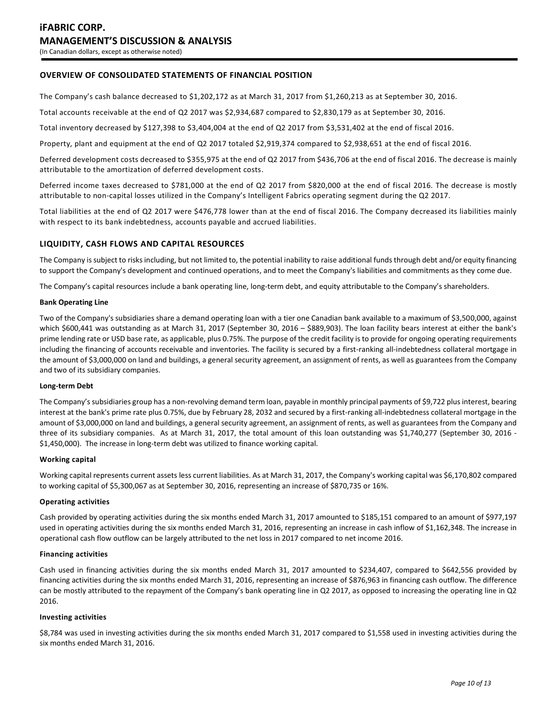# **OVERVIEW OF CONSOLIDATED STATEMENTS OF FINANCIAL POSITION**

The Company's cash balance decreased to \$1,202,172 as at March 31, 2017 from \$1,260,213 as at September 30, 2016.

Total accounts receivable at the end of Q2 2017 was \$2,934,687 compared to \$2,830,179 as at September 30, 2016.

Total inventory decreased by \$127,398 to \$3,404,004 at the end of Q2 2017 from \$3,531,402 at the end of fiscal 2016.

Property, plant and equipment at the end of Q2 2017 totaled \$2,919,374 compared to \$2,938,651 at the end of fiscal 2016.

Deferred development costs decreased to \$355,975 at the end of Q2 2017 from \$436,706 at the end of fiscal 2016. The decrease is mainly attributable to the amortization of deferred development costs.

Deferred income taxes decreased to \$781,000 at the end of Q2 2017 from \$820,000 at the end of fiscal 2016. The decrease is mostly attributable to non-capital losses utilized in the Company's Intelligent Fabrics operating segment during the Q2 2017.

Total liabilities at the end of Q2 2017 were \$476,778 lower than at the end of fiscal 2016. The Company decreased its liabilities mainly with respect to its bank indebtedness, accounts payable and accrued liabilities.

### **LIQUIDITY, CASH FLOWS AND CAPITAL RESOURCES**

The Company is subject to risks including, but not limited to, the potential inability to raise additional funds through debt and/or equity financing to support the Company's development and continued operations, and to meet the Company's liabilities and commitments as they come due.

The Company's capital resources include a bank operating line, long-term debt, and equity attributable to the Company's shareholders.

#### **Bank Operating Line**

Two of the Company's subsidiaries share a demand operating loan with a tier one Canadian bank available to a maximum of \$3,500,000, against which \$600,441 was outstanding as at March 31, 2017 (September 30, 2016 – \$889,903). The loan facility bears interest at either the bank's prime lending rate or USD base rate, as applicable, plus 0.75%. The purpose of the credit facility is to provide for ongoing operating requirements including the financing of accounts receivable and inventories. The facility is secured by a first-ranking all-indebtedness collateral mortgage in the amount of \$3,000,000 on land and buildings, a general security agreement, an assignment of rents, as well as guarantees from the Company and two of its subsidiary companies.

#### **Long-term Debt**

The Company's subsidiaries group has a non-revolving demand term loan, payable in monthly principal payments of \$9,722 plus interest, bearing interest at the bank's prime rate plus 0.75%, due by February 28, 2032 and secured by a first-ranking all-indebtedness collateral mortgage in the amount of \$3,000,000 on land and buildings, a general security agreement, an assignment of rents, as well as guarantees from the Company and three of its subsidiary companies. As at March 31, 2017, the total amount of this loan outstanding was \$1,740,277 (September 30, 2016 - \$1,450,000). The increase in long-term debt was utilized to finance working capital.

#### **Working capital**

Working capital represents current assets less current liabilities. As at March 31, 2017, the Company's working capital was \$6,170,802 compared to working capital of \$5,300,067 as at September 30, 2016, representing an increase of \$870,735 or 16%.

#### **Operating activities**

Cash provided by operating activities during the six months ended March 31, 2017 amounted to \$185,151 compared to an amount of \$977,197 used in operating activities during the six months ended March 31, 2016, representing an increase in cash inflow of \$1,162,348. The increase in operational cash flow outflow can be largely attributed to the net loss in 2017 compared to net income 2016.

#### **Financing activities**

Cash used in financing activities during the six months ended March 31, 2017 amounted to \$234,407, compared to \$642,556 provided by financing activities during the six months ended March 31, 2016, representing an increase of \$876,963 in financing cash outflow. The difference can be mostly attributed to the repayment of the Company's bank operating line in Q2 2017, as opposed to increasing the operating line in Q2 2016.

#### **Investing activities**

\$8,784 was used in investing activities during the six months ended March 31, 2017 compared to \$1,558 used in investing activities during the six months ended March 31, 2016.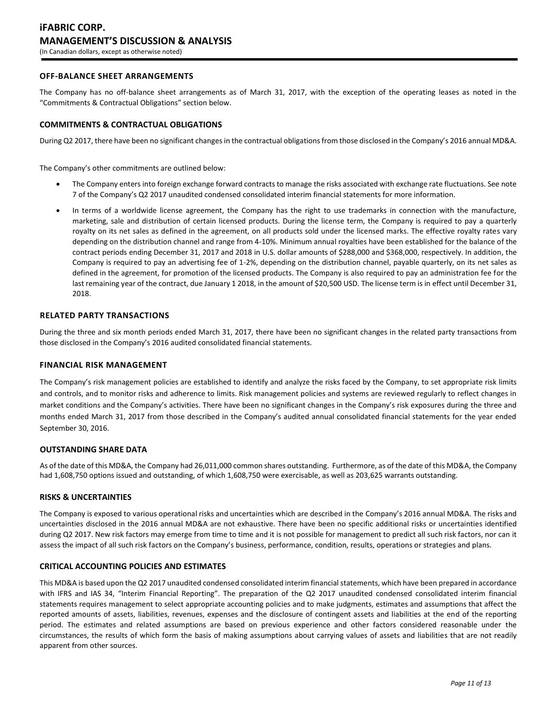# **OFF-BALANCE SHEET ARRANGEMENTS**

The Company has no off-balance sheet arrangements as of March 31, 2017, with the exception of the operating leases as noted in the "Commitments & Contractual Obligations" section below.

## **COMMITMENTS & CONTRACTUAL OBLIGATIONS**

During Q2 2017, there have been no significant changes in the contractual obligations from those disclosed in the Company's 2016 annual MD&A.

The Company's other commitments are outlined below:

- The Company enters into foreign exchange forward contracts to manage the risks associated with exchange rate fluctuations. See note 7 of the Company's Q2 2017 unaudited condensed consolidated interim financial statements for more information.
- In terms of a worldwide license agreement, the Company has the right to use trademarks in connection with the manufacture, marketing, sale and distribution of certain licensed products. During the license term, the Company is required to pay a quarterly royalty on its net sales as defined in the agreement, on all products sold under the licensed marks. The effective royalty rates vary depending on the distribution channel and range from 4-10%. Minimum annual royalties have been established for the balance of the contract periods ending December 31, 2017 and 2018 in U.S. dollar amounts of \$288,000 and \$368,000, respectively. In addition, the Company is required to pay an advertising fee of 1-2%, depending on the distribution channel, payable quarterly, on its net sales as defined in the agreement, for promotion of the licensed products. The Company is also required to pay an administration fee for the last remaining year of the contract, due January 1 2018, in the amount of \$20,500 USD. The license term is in effect until December 31, 2018.

# **RELATED PARTY TRANSACTIONS**

During the three and six month periods ended March 31, 2017, there have been no significant changes in the related party transactions from those disclosed in the Company's 2016 audited consolidated financial statements.

#### **FINANCIAL RISK MANAGEMENT**

The Company's risk management policies are established to identify and analyze the risks faced by the Company, to set appropriate risk limits and controls, and to monitor risks and adherence to limits. Risk management policies and systems are reviewed regularly to reflect changes in market conditions and the Company's activities. There have been no significant changes in the Company's risk exposures during the three and months ended March 31, 2017 from those described in the Company's audited annual consolidated financial statements for the year ended September 30, 2016.

# **OUTSTANDING SHARE DATA**

As of the date of this MD&A, the Company had 26,011,000 common shares outstanding. Furthermore, as of the date of this MD&A, the Company had 1,608,750 options issued and outstanding, of which 1,608,750 were exercisable, as well as 203,625 warrants outstanding.

#### **RISKS & UNCERTAINTIES**

The Company is exposed to various operational risks and uncertainties which are described in the Company's 2016 annual MD&A. The risks and uncertainties disclosed in the 2016 annual MD&A are not exhaustive. There have been no specific additional risks or uncertainties identified during Q2 2017. New risk factors may emerge from time to time and it is not possible for management to predict all such risk factors, nor can it assess the impact of all such risk factors on the Company's business, performance, condition, results, operations or strategies and plans.

## **CRITICAL ACCOUNTING POLICIES AND ESTIMATES**

This MD&A is based upon the Q2 2017 unaudited condensed consolidated interim financial statements, which have been prepared in accordance with IFRS and IAS 34, "Interim Financial Reporting". The preparation of the Q2 2017 unaudited condensed consolidated interim financial statements requires management to select appropriate accounting policies and to make judgments, estimates and assumptions that affect the reported amounts of assets, liabilities, revenues, expenses and the disclosure of contingent assets and liabilities at the end of the reporting period. The estimates and related assumptions are based on previous experience and other factors considered reasonable under the circumstances, the results of which form the basis of making assumptions about carrying values of assets and liabilities that are not readily apparent from other sources.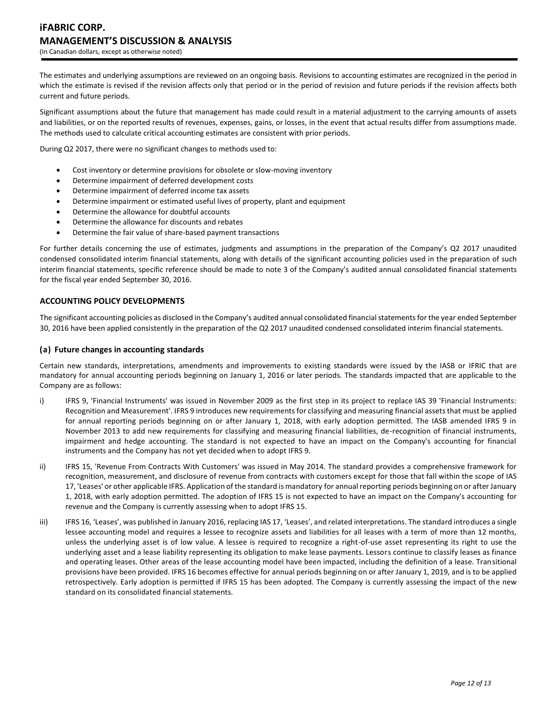The estimates and underlying assumptions are reviewed on an ongoing basis. Revisions to accounting estimates are recognized in the period in which the estimate is revised if the revision affects only that period or in the period of revision and future periods if the revision affects both current and future periods.

Significant assumptions about the future that management has made could result in a material adjustment to the carrying amounts of assets and liabilities, or on the reported results of revenues, expenses, gains, or losses, in the event that actual results differ from assumptions made. The methods used to calculate critical accounting estimates are consistent with prior periods.

During Q2 2017, there were no significant changes to methods used to:

- Cost inventory or determine provisions for obsolete or slow-moving inventory
- Determine impairment of deferred development costs
- Determine impairment of deferred income tax assets
- Determine impairment or estimated useful lives of property, plant and equipment
- Determine the allowance for doubtful accounts
- Determine the allowance for discounts and rebates
- Determine the fair value of share-based payment transactions

For further details concerning the use of estimates, judgments and assumptions in the preparation of the Company's Q2 2017 unaudited condensed consolidated interim financial statements, along with details of the significant accounting policies used in the preparation of such interim financial statements, specific reference should be made to note 3 of the Company's audited annual consolidated financial statements for the fiscal year ended September 30, 2016.

# **ACCOUNTING POLICY DEVELOPMENTS**

The significant accounting policies as disclosed in the Company's audited annual consolidated financial statements for the year ended September 30, 2016 have been applied consistently in the preparation of the Q2 2017 unaudited condensed consolidated interim financial statements.

## **(a) Future changes in accounting standards**

Certain new standards, interpretations, amendments and improvements to existing standards were issued by the IASB or IFRIC that are mandatory for annual accounting periods beginning on January 1, 2016 or later periods. The standards impacted that are applicable to the Company are as follows:

- i) IFRS 9, 'Financial Instruments' was issued in November 2009 as the first step in its project to replace IAS 39 'Financial Instruments: Recognition and Measurement'. IFRS 9 introduces new requirements for classifying and measuring financial assets that must be applied for annual reporting periods beginning on or after January 1, 2018, with early adoption permitted. The IASB amended IFRS 9 in November 2013 to add new requirements for classifying and measuring financial liabilities, de-recognition of financial instruments, impairment and hedge accounting. The standard is not expected to have an impact on the Company's accounting for financial instruments and the Company has not yet decided when to adopt IFRS 9.
- ii) IFRS 15, 'Revenue From Contracts With Customers' was issued in May 2014. The standard provides a comprehensive framework for recognition, measurement, and disclosure of revenue from contracts with customers except for those that fall within the scope of IAS 17, 'Leases' or other applicable IFRS. Application of the standard is mandatory for annual reporting periods beginning on or after January 1, 2018, with early adoption permitted. The adoption of IFRS 15 is not expected to have an impact on the Company's accounting for revenue and the Company is currently assessing when to adopt IFRS 15.
- iii) IFRS 16, 'Leases', was published in January 2016, replacing IAS 17, 'Leases', and related interpretations. The standard introduces a single lessee accounting model and requires a lessee to recognize assets and liabilities for all leases with a term of more than 12 months, unless the underlying asset is of low value. A lessee is required to recognize a right-of-use asset representing its right to use the underlying asset and a lease liability representing its obligation to make lease payments. Lessors continue to classify leases as finance and operating leases. Other areas of the lease accounting model have been impacted, including the definition of a lease. Transitional provisions have been provided. IFRS 16 becomes effective for annual periods beginning on or after January 1, 2019, and is to be applied retrospectively. Early adoption is permitted if IFRS 15 has been adopted. The Company is currently assessing the impact of the new standard on its consolidated financial statements.